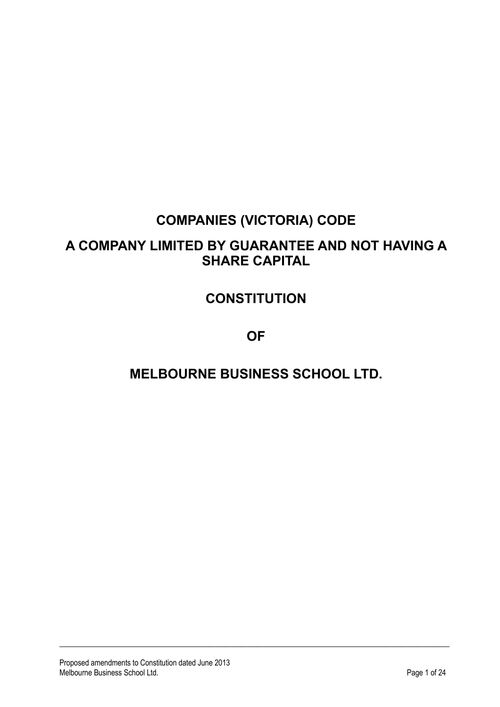# **COMPANIES (VICTORIA) CODE**

## **A COMPANY LIMITED BY GUARANTEE AND NOT HAVING A SHARE CAPITAL**

# **CONSTITUTION**

**OF**

# **MELBOURNE BUSINESS SCHOOL LTD.**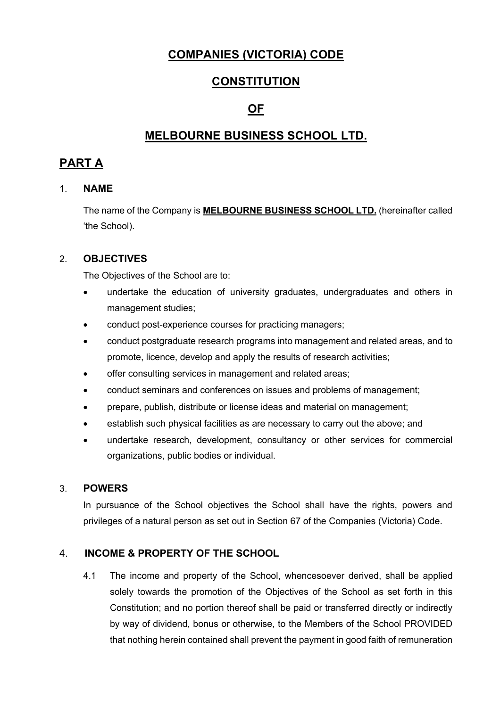### **COMPANIES (VICTORIA) CODE**

### **CONSTITUTION**

### **OF**

### **MELBOURNE BUSINESS SCHOOL LTD.**

### **PART A**

#### 1. **NAME**

The name of the Company is **MELBOURNE BUSINESS SCHOOL LTD.** (hereinafter called 'the School).

#### 2. **OBJECTIVES**

The Objectives of the School are to:

- undertake the education of university graduates, undergraduates and others in management studies;
- conduct post-experience courses for practicing managers;
- conduct postgraduate research programs into management and related areas, and to promote, licence, develop and apply the results of research activities;
- offer consulting services in management and related areas;
- conduct seminars and conferences on issues and problems of management;
- prepare, publish, distribute or license ideas and material on management;
- establish such physical facilities as are necessary to carry out the above; and
- undertake research, development, consultancy or other services for commercial organizations, public bodies or individual.

#### 3. **POWERS**

In pursuance of the School objectives the School shall have the rights, powers and privileges of a natural person as set out in Section 67 of the Companies (Victoria) Code.

#### 4. **INCOME & PROPERTY OF THE SCHOOL**

4.1 The income and property of the School, whencesoever derived, shall be applied solely towards the promotion of the Objectives of the School as set forth in this Constitution; and no portion thereof shall be paid or transferred directly or indirectly by way of dividend, bonus or otherwise, to the Members of the School PROVIDED that nothing herein contained shall prevent the payment in good faith of remuneration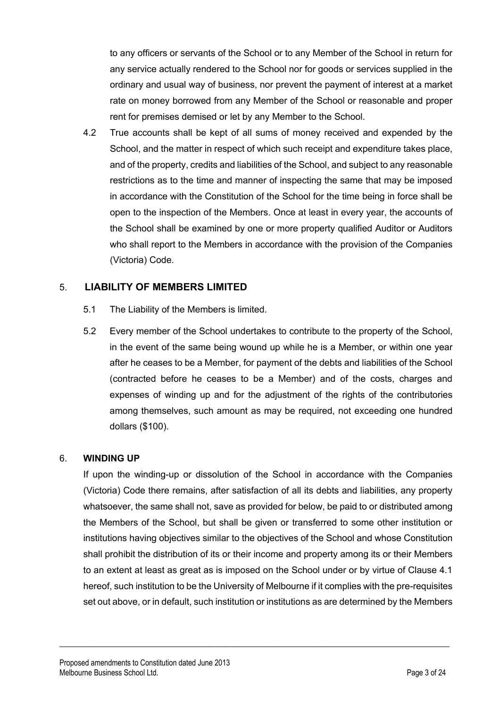to any officers or servants of the School or to any Member of the School in return for any service actually rendered to the School nor for goods or services supplied in the ordinary and usual way of business, nor prevent the payment of interest at a market rate on money borrowed from any Member of the School or reasonable and proper rent for premises demised or let by any Member to the School.

4.2 True accounts shall be kept of all sums of money received and expended by the School, and the matter in respect of which such receipt and expenditure takes place, and of the property, credits and liabilities of the School, and subject to any reasonable restrictions as to the time and manner of inspecting the same that may be imposed in accordance with the Constitution of the School for the time being in force shall be open to the inspection of the Members. Once at least in every year, the accounts of the School shall be examined by one or more property qualified Auditor or Auditors who shall report to the Members in accordance with the provision of the Companies (Victoria) Code.

#### 5. **LIABILITY OF MEMBERS LIMITED**

- 5.1 The Liability of the Members is limited.
- 5.2 Every member of the School undertakes to contribute to the property of the School, in the event of the same being wound up while he is a Member, or within one year after he ceases to be a Member, for payment of the debts and liabilities of the School (contracted before he ceases to be a Member) and of the costs, charges and expenses of winding up and for the adjustment of the rights of the contributories among themselves, such amount as may be required, not exceeding one hundred dollars (\$100).

#### 6. **WINDING UP**

If upon the winding-up or dissolution of the School in accordance with the Companies (Victoria) Code there remains, after satisfaction of all its debts and liabilities, any property whatsoever, the same shall not, save as provided for below, be paid to or distributed among the Members of the School, but shall be given or transferred to some other institution or institutions having objectives similar to the objectives of the School and whose Constitution shall prohibit the distribution of its or their income and property among its or their Members to an extent at least as great as is imposed on the School under or by virtue of Clause 4.1 hereof, such institution to be the University of Melbourne if it complies with the pre-requisites set out above, or in default, such institution or institutions as are determined by the Members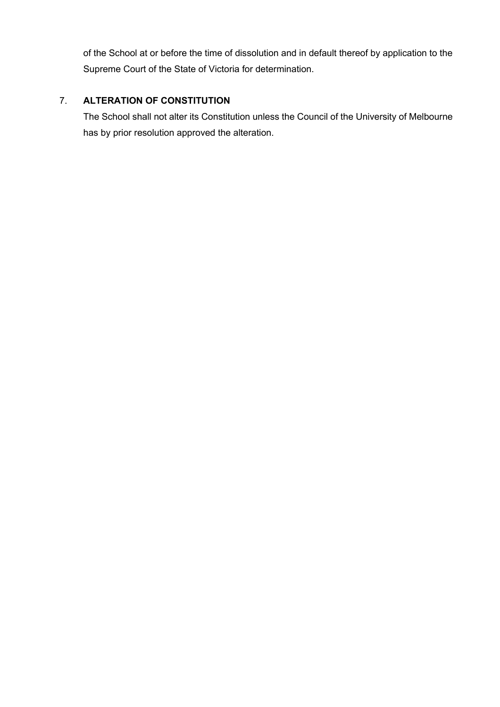of the School at or before the time of dissolution and in default thereof by application to the Supreme Court of the State of Victoria for determination.

#### 7. **ALTERATION OF CONSTITUTION**

The School shall not alter its Constitution unless the Council of the University of Melbourne has by prior resolution approved the alteration.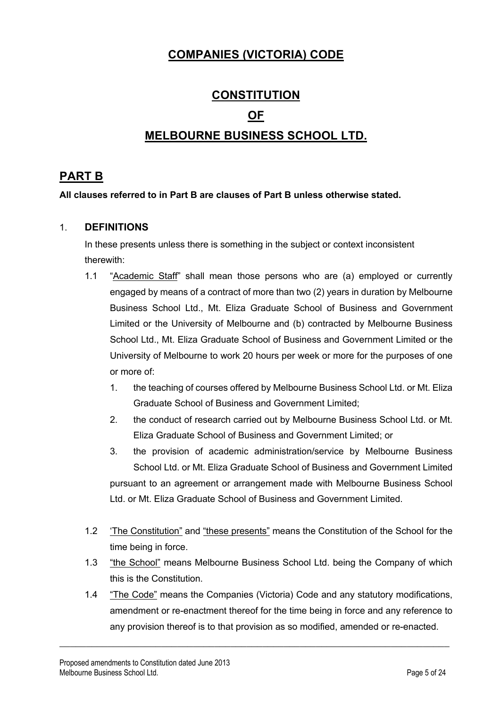### **COMPANIES (VICTORIA) CODE**

# **CONSTITUTION OF MELBOURNE BUSINESS SCHOOL LTD.**

### **PART B**

#### **All clauses referred to in Part B are clauses of Part B unless otherwise stated.**

#### 1. **DEFINITIONS**

In these presents unless there is something in the subject or context inconsistent therewith:

- 1.1 "Academic Staff" shall mean those persons who are (a) employed or currently engaged by means of a contract of more than two (2) years in duration by Melbourne Business School Ltd., Mt. Eliza Graduate School of Business and Government Limited or the University of Melbourne and (b) contracted by Melbourne Business School Ltd., Mt. Eliza Graduate School of Business and Government Limited or the University of Melbourne to work 20 hours per week or more for the purposes of one or more of:
	- 1. the teaching of courses offered by Melbourne Business School Ltd. or Mt. Eliza Graduate School of Business and Government Limited;
	- 2. the conduct of research carried out by Melbourne Business School Ltd. or Mt. Eliza Graduate School of Business and Government Limited; or
	- 3. the provision of academic administration/service by Melbourne Business School Ltd. or Mt. Eliza Graduate School of Business and Government Limited pursuant to an agreement or arrangement made with Melbourne Business School Ltd. or Mt. Eliza Graduate School of Business and Government Limited.
- 1.2 'The Constitution" and "these presents" means the Constitution of the School for the time being in force.
- 1.3 "the School" means Melbourne Business School Ltd. being the Company of which this is the Constitution.
- 1.4 "The Code" means the Companies (Victoria) Code and any statutory modifications, amendment or re-enactment thereof for the time being in force and any reference to any provision thereof is to that provision as so modified, amended or re-enacted.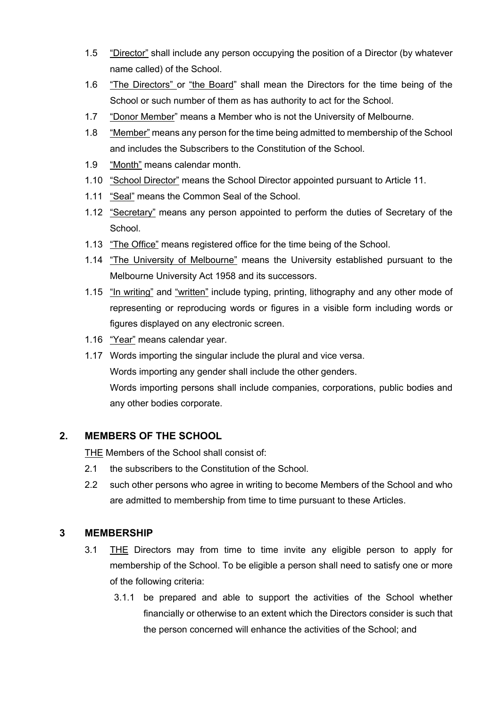- 1.5 "Director" shall include any person occupying the position of a Director (by whatever name called) of the School.
- 1.6 "The Directors" or "the Board" shall mean the Directors for the time being of the School or such number of them as has authority to act for the School.
- 1.7 "Donor Member" means a Member who is not the University of Melbourne.
- 1.8 "Member" means any person for the time being admitted to membership of the School and includes the Subscribers to the Constitution of the School.
- 1.9 "Month" means calendar month.
- 1.10 "School Director" means the School Director appointed pursuant to Article 11.
- 1.11 "Seal" means the Common Seal of the School.
- 1.12 "Secretary" means any person appointed to perform the duties of Secretary of the School.
- 1.13 "The Office" means registered office for the time being of the School.
- 1.14 "The University of Melbourne" means the University established pursuant to the Melbourne University Act 1958 and its successors.
- 1.15 "In writing" and "written" include typing, printing, lithography and any other mode of representing or reproducing words or figures in a visible form including words or figures displayed on any electronic screen.
- 1.16 "Year" means calendar year.
- 1.17 Words importing the singular include the plural and vice versa. Words importing any gender shall include the other genders. Words importing persons shall include companies, corporations, public bodies and any other bodies corporate.

#### **2. MEMBERS OF THE SCHOOL**

THE Members of the School shall consist of:

- 2.1 the subscribers to the Constitution of the School.
- 2.2 such other persons who agree in writing to become Members of the School and who are admitted to membership from time to time pursuant to these Articles.

#### **3 MEMBERSHIP**

- 3.1 THE Directors may from time to time invite any eligible person to apply for membership of the School. To be eligible a person shall need to satisfy one or more of the following criteria:
	- 3.1.1 be prepared and able to support the activities of the School whether financially or otherwise to an extent which the Directors consider is such that the person concerned will enhance the activities of the School; and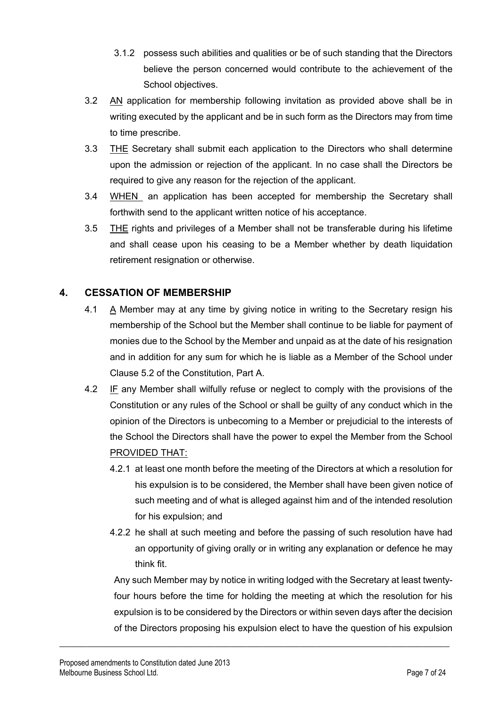- 3.1.2 possess such abilities and qualities or be of such standing that the Directors believe the person concerned would contribute to the achievement of the School objectives.
- 3.2 AN application for membership following invitation as provided above shall be in writing executed by the applicant and be in such form as the Directors may from time to time prescribe.
- 3.3 THE Secretary shall submit each application to the Directors who shall determine upon the admission or rejection of the applicant. In no case shall the Directors be required to give any reason for the rejection of the applicant.
- 3.4 WHEN an application has been accepted for membership the Secretary shall forthwith send to the applicant written notice of his acceptance.
- 3.5 THE rights and privileges of a Member shall not be transferable during his lifetime and shall cease upon his ceasing to be a Member whether by death liquidation retirement resignation or otherwise.

#### **4. CESSATION OF MEMBERSHIP**

- 4.1 A Member may at any time by giving notice in writing to the Secretary resign his membership of the School but the Member shall continue to be liable for payment of monies due to the School by the Member and unpaid as at the date of his resignation and in addition for any sum for which he is liable as a Member of the School under Clause 5.2 of the Constitution, Part A.
- 4.2 IF any Member shall wilfully refuse or neglect to comply with the provisions of the Constitution or any rules of the School or shall be guilty of any conduct which in the opinion of the Directors is unbecoming to a Member or prejudicial to the interests of the School the Directors shall have the power to expel the Member from the School PROVIDED THAT:
	- 4.2.1 at least one month before the meeting of the Directors at which a resolution for his expulsion is to be considered, the Member shall have been given notice of such meeting and of what is alleged against him and of the intended resolution for his expulsion; and
	- 4.2.2 he shall at such meeting and before the passing of such resolution have had an opportunity of giving orally or in writing any explanation or defence he may think fit.

Any such Member may by notice in writing lodged with the Secretary at least twentyfour hours before the time for holding the meeting at which the resolution for his expulsion is to be considered by the Directors or within seven days after the decision of the Directors proposing his expulsion elect to have the question of his expulsion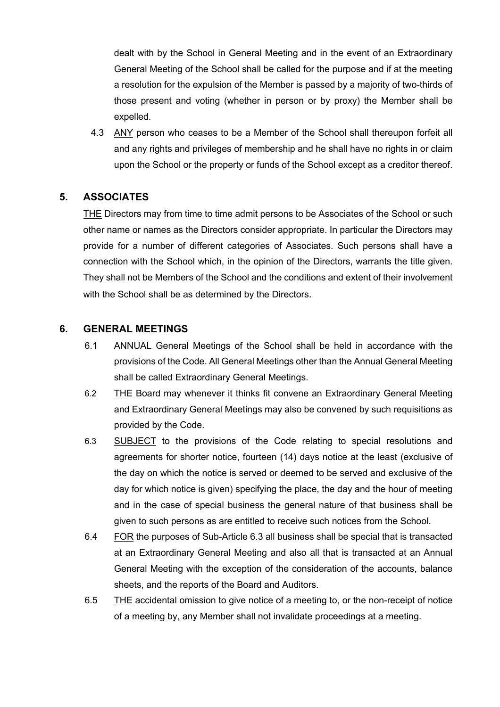dealt with by the School in General Meeting and in the event of an Extraordinary General Meeting of the School shall be called for the purpose and if at the meeting a resolution for the expulsion of the Member is passed by a majority of two-thirds of those present and voting (whether in person or by proxy) the Member shall be expelled.

4.3 ANY person who ceases to be a Member of the School shall thereupon forfeit all and any rights and privileges of membership and he shall have no rights in or claim upon the School or the property or funds of the School except as a creditor thereof.

#### **5. ASSOCIATES**

THE Directors may from time to time admit persons to be Associates of the School or such other name or names as the Directors consider appropriate. In particular the Directors may provide for a number of different categories of Associates. Such persons shall have a connection with the School which, in the opinion of the Directors, warrants the title given. They shall not be Members of the School and the conditions and extent of their involvement with the School shall be as determined by the Directors.

#### **6. GENERAL MEETINGS**

- 6.1 ANNUAL General Meetings of the School shall be held in accordance with the provisions of the Code. All General Meetings other than the Annual General Meeting shall be called Extraordinary General Meetings.
- 6.2 THE Board may whenever it thinks fit convene an Extraordinary General Meeting and Extraordinary General Meetings may also be convened by such requisitions as provided by the Code.
- 6.3 SUBJECT to the provisions of the Code relating to special resolutions and agreements for shorter notice, fourteen (14) days notice at the least (exclusive of the day on which the notice is served or deemed to be served and exclusive of the day for which notice is given) specifying the place, the day and the hour of meeting and in the case of special business the general nature of that business shall be given to such persons as are entitled to receive such notices from the School.
- 6.4 FOR the purposes of Sub-Article 6.3 all business shall be special that is transacted at an Extraordinary General Meeting and also all that is transacted at an Annual General Meeting with the exception of the consideration of the accounts, balance sheets, and the reports of the Board and Auditors.
- 6.5 THE accidental omission to give notice of a meeting to, or the non-receipt of notice of a meeting by, any Member shall not invalidate proceedings at a meeting.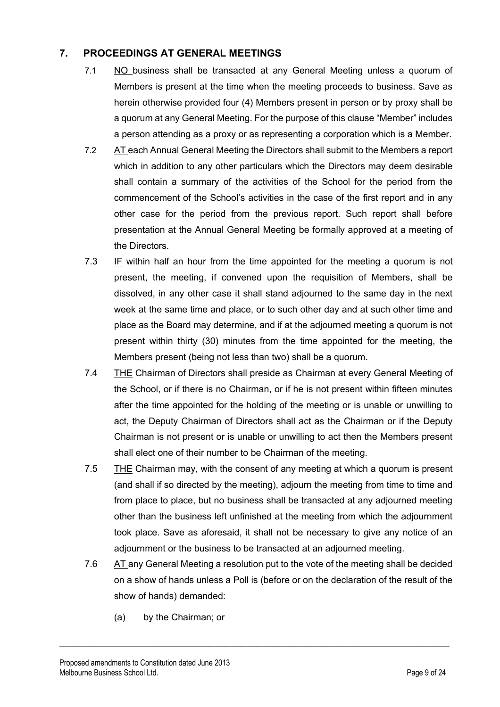#### **7. PROCEEDINGS AT GENERAL MEETINGS**

- 7.1 NO business shall be transacted at any General Meeting unless a quorum of Members is present at the time when the meeting proceeds to business. Save as herein otherwise provided four (4) Members present in person or by proxy shall be a quorum at any General Meeting. For the purpose of this clause "Member" includes a person attending as a proxy or as representing a corporation which is a Member.
- 7.2 AT each Annual General Meeting the Directors shall submit to the Members a report which in addition to any other particulars which the Directors may deem desirable shall contain a summary of the activities of the School for the period from the commencement of the School's activities in the case of the first report and in any other case for the period from the previous report. Such report shall before presentation at the Annual General Meeting be formally approved at a meeting of the Directors.
- 7.3 IF within half an hour from the time appointed for the meeting a quorum is not present, the meeting, if convened upon the requisition of Members, shall be dissolved, in any other case it shall stand adjourned to the same day in the next week at the same time and place, or to such other day and at such other time and place as the Board may determine, and if at the adjourned meeting a quorum is not present within thirty (30) minutes from the time appointed for the meeting, the Members present (being not less than two) shall be a quorum.
- 7.4 THE Chairman of Directors shall preside as Chairman at every General Meeting of the School, or if there is no Chairman, or if he is not present within fifteen minutes after the time appointed for the holding of the meeting or is unable or unwilling to act, the Deputy Chairman of Directors shall act as the Chairman or if the Deputy Chairman is not present or is unable or unwilling to act then the Members present shall elect one of their number to be Chairman of the meeting.
- 7.5 THE Chairman may, with the consent of any meeting at which a quorum is present (and shall if so directed by the meeting), adjourn the meeting from time to time and from place to place, but no business shall be transacted at any adjourned meeting other than the business left unfinished at the meeting from which the adjournment took place. Save as aforesaid, it shall not be necessary to give any notice of an adjournment or the business to be transacted at an adjourned meeting.
- 7.6 AT any General Meeting a resolution put to the vote of the meeting shall be decided on a show of hands unless a Poll is (before or on the declaration of the result of the show of hands) demanded:

 $\_$  , and the set of the set of the set of the set of the set of the set of the set of the set of the set of the set of the set of the set of the set of the set of the set of the set of the set of the set of the set of th

(a) by the Chairman; or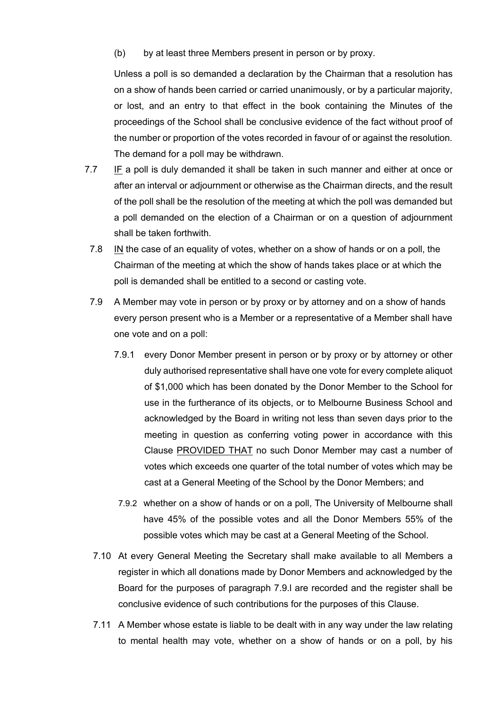(b) by at least three Members present in person or by proxy.

Unless a poll is so demanded a declaration by the Chairman that a resolution has on a show of hands been carried or carried unanimously, or by a particular majority, or lost, and an entry to that effect in the book containing the Minutes of the proceedings of the School shall be conclusive evidence of the fact without proof of the number or proportion of the votes recorded in favour of or against the resolution. The demand for a poll may be withdrawn.

- 7.7 IF a poll is duly demanded it shall be taken in such manner and either at once or after an interval or adjournment or otherwise as the Chairman directs, and the result of the poll shall be the resolution of the meeting at which the poll was demanded but a poll demanded on the election of a Chairman or on a question of adjournment shall be taken forthwith.
	- 7.8 IN the case of an equality of votes, whether on a show of hands or on a poll, the Chairman of the meeting at which the show of hands takes place or at which the poll is demanded shall be entitled to a second or casting vote.
	- 7.9 A Member may vote in person or by proxy or by attorney and on a show of hands every person present who is a Member or a representative of a Member shall have one vote and on a poll:
		- 7.9.1 every Donor Member present in person or by proxy or by attorney or other duly authorised representative shall have one vote for every complete aliquot of \$1,000 which has been donated by the Donor Member to the School for use in the furtherance of its objects, or to Melbourne Business School and acknowledged by the Board in writing not less than seven days prior to the meeting in question as conferring voting power in accordance with this Clause PROVIDED THAT no such Donor Member may cast a number of votes which exceeds one quarter of the total number of votes which may be cast at a General Meeting of the School by the Donor Members; and
		- 7.9.2 whether on a show of hands or on a poll, The University of Melbourne shall have 45% of the possible votes and all the Donor Members 55% of the possible votes which may be cast at a General Meeting of the School.
	- 7.10 At every General Meeting the Secretary shall make available to all Members a register in which all donations made by Donor Members and acknowledged by the Board for the purposes of paragraph 7.9.l are recorded and the register shall be conclusive evidence of such contributions for the purposes of this Clause.
	- 7.11 A Member whose estate is liable to be dealt with in any way under the law relating to mental health may vote, whether on a show of hands or on a poll, by his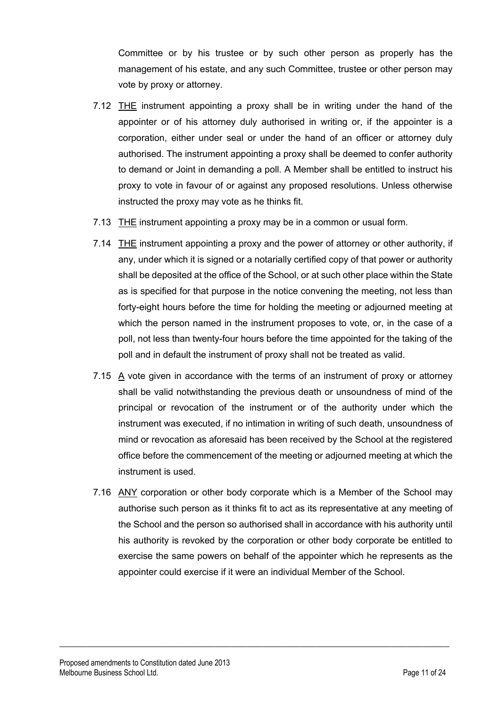Committee or by his trustee or by such other person as properly has the management of his estate, and any such Committee, trustee or other person may vote by proxy or attorney.

- 7.12 THE instrument appointing a proxy shall be in writing under the hand of the appointer or of his attorney duly authorised in writing or, if the appointer is a corporation, either under seal or under the hand of an officer or attorney duly authorised. The instrument appointing a proxy shall be deemed to confer authority to demand or Joint in demanding a poll. A Member shall be entitled to instruct his proxy to vote in favour of or against any proposed resolutions. Unless otherwise instructed the proxy may vote as he thinks fit.
- 7.13 THE instrument appointing a proxy may be in a common or usual form.
- 7.14 THE instrument appointing a proxy and the power of attorney or other authority, if any, under which it is signed or a notarially certified copy of that power or authority shall be deposited at the office of the School, or at such other place within the State as is specified for that purpose in the notice convening the meeting, not less than forty-eight hours before the time for holding the meeting or adjourned meeting at which the person named in the instrument proposes to vote, or, in the case of a poll, not less than twenty-four hours before the time appointed for the taking of the poll and in default the instrument of proxy shall not be treated as valid.
- 7.15 A vote given in accordance with the terms of an instrument of proxy or attorney shall be valid notwithstanding the previous death or unsoundness of mind of the principal or revocation of the instrument or of the authority under which the instrument was executed, if no intimation in writing of such death, unsoundness of mind or revocation as aforesaid has been received by the School at the registered office before the commencement of the meeting or adjourned meeting at which the instrument is used.
- 7.16 ANY corporation or other body corporate which is a Member of the School may authorise such person as it thinks fit to act as its representative at any meeting of the School and the person so authorised shall in accordance with his authority until his authority is revoked by the corporation or other body corporate be entitled to exercise the same powers on behalf of the appointer which he represents as the appointer could exercise if it were an individual Member of the School.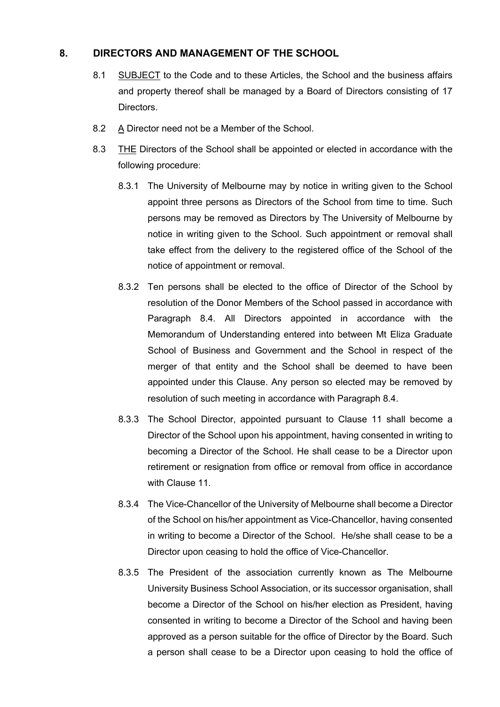#### **8. DIRECTORS AND MANAGEMENT OF THE SCHOOL**

- 8.1 SUBJECT to the Code and to these Articles, the School and the business affairs and property thereof shall be managed by a Board of Directors consisting of 17 Directors.
- 8.2 A Director need not be a Member of the School.
- 8.3 THE Directors of the School shall be appointed or elected in accordance with the following procedure:
	- 8.3.1 The University of Melbourne may by notice in writing given to the School appoint three persons as Directors of the School from time to time. Such persons may be removed as Directors by The University of Melbourne by notice in writing given to the School. Such appointment or removal shall take effect from the delivery to the registered office of the School of the notice of appointment or removal.
	- 8.3.2 Ten persons shall be elected to the office of Director of the School by resolution of the Donor Members of the School passed in accordance with Paragraph 8.4. All Directors appointed in accordance with the Memorandum of Understanding entered into between Mt Eliza Graduate School of Business and Government and the School in respect of the merger of that entity and the School shall be deemed to have been appointed under this Clause. Any person so elected may be removed by resolution of such meeting in accordance with Paragraph 8.4.
	- 8.3.3 The School Director, appointed pursuant to Clause 11 shall become a Director of the School upon his appointment, having consented in writing to becoming a Director of the School. He shall cease to be a Director upon retirement or resignation from office or removal from office in accordance with Clause 11.
	- 8.3.4 The Vice-Chancellor of the University of Melbourne shall become a Director of the School on his/her appointment as Vice-Chancellor, having consented in writing to become a Director of the School. He/she shall cease to be a Director upon ceasing to hold the office of Vice-Chancellor.
	- 8.3.5 The President of the association currently known as The Melbourne University Business School Association, or its successor organisation, shall become a Director of the School on his/her election as President, having consented in writing to become a Director of the School and having been approved as a person suitable for the office of Director by the Board. Such a person shall cease to be a Director upon ceasing to hold the office of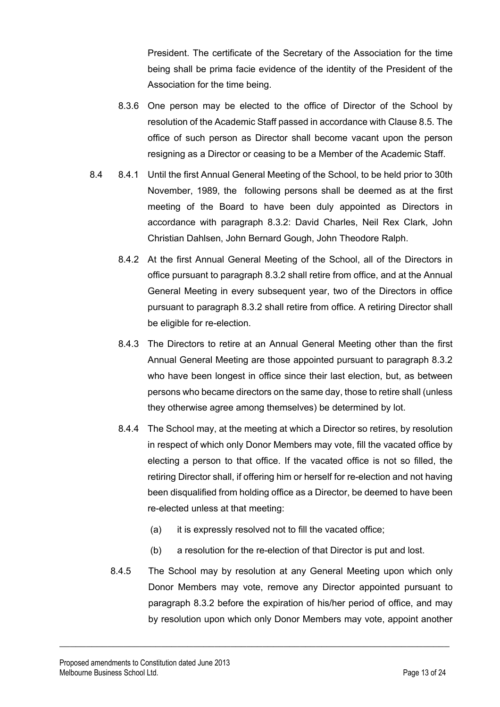President. The certificate of the Secretary of the Association for the time being shall be prima facie evidence of the identity of the President of the Association for the time being.

- 8.3.6 One person may be elected to the office of Director of the School by resolution of the Academic Staff passed in accordance with Clause 8.5. The office of such person as Director shall become vacant upon the person resigning as a Director or ceasing to be a Member of the Academic Staff.
- 8.4 8.4.1 Until the first Annual General Meeting of the School, to be held prior to 30th November, 1989, the following persons shall be deemed as at the first meeting of the Board to have been duly appointed as Directors in accordance with paragraph 8.3.2: David Charles, Neil Rex Clark, John Christian Dahlsen, John Bernard Gough, John Theodore Ralph.
	- 8.4.2 At the first Annual General Meeting of the School, all of the Directors in office pursuant to paragraph 8.3.2 shall retire from office, and at the Annual General Meeting in every subsequent year, two of the Directors in office pursuant to paragraph 8.3.2 shall retire from office. A retiring Director shall be eligible for re-election.
	- 8.4.3 The Directors to retire at an Annual General Meeting other than the first Annual General Meeting are those appointed pursuant to paragraph 8.3.2 who have been longest in office since their last election, but, as between persons who became directors on the same day, those to retire shall (unless they otherwise agree among themselves) be determined by lot.
	- 8.4.4 The School may, at the meeting at which a Director so retires, by resolution in respect of which only Donor Members may vote, fill the vacated office by electing a person to that office. If the vacated office is not so filled, the retiring Director shall, if offering him or herself for re-election and not having been disqualified from holding office as a Director, be deemed to have been re-elected unless at that meeting:
		- (a) it is expressly resolved not to fill the vacated office;
		- (b) a resolution for the re-election of that Director is put and lost.
	- 8.4.5 The School may by resolution at any General Meeting upon which only Donor Members may vote, remove any Director appointed pursuant to paragraph 8.3.2 before the expiration of his/her period of office, and may by resolution upon which only Donor Members may vote, appoint another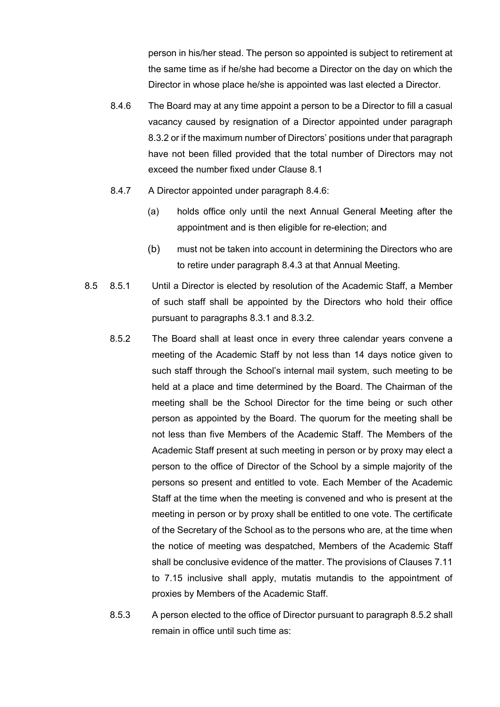person in his/her stead. The person so appointed is subject to retirement at the same time as if he/she had become a Director on the day on which the Director in whose place he/she is appointed was last elected a Director.

- 8.4.6 The Board may at any time appoint a person to be a Director to fill a casual vacancy caused by resignation of a Director appointed under paragraph 8.3.2 or if the maximum number of Directors' positions under that paragraph have not been filled provided that the total number of Directors may not exceed the number fixed under Clause 8.1
- 8.4.7 A Director appointed under paragraph 8.4.6:
	- (a) holds office only until the next Annual General Meeting after the appointment and is then eligible for re-election; and
	- (b) must not be taken into account in determining the Directors who are to retire under paragraph 8.4.3 at that Annual Meeting.
- 8.5 8.5.1 Until a Director is elected by resolution of the Academic Staff, a Member of such staff shall be appointed by the Directors who hold their office pursuant to paragraphs 8.3.1 and 8.3.2.
	- 8.5.2 The Board shall at least once in every three calendar years convene a meeting of the Academic Staff by not less than 14 days notice given to such staff through the School's internal mail system, such meeting to be held at a place and time determined by the Board. The Chairman of the meeting shall be the School Director for the time being or such other person as appointed by the Board. The quorum for the meeting shall be not less than five Members of the Academic Staff. The Members of the Academic Staff present at such meeting in person or by proxy may elect a person to the office of Director of the School by a simple majority of the persons so present and entitled to vote. Each Member of the Academic Staff at the time when the meeting is convened and who is present at the meeting in person or by proxy shall be entitled to one vote. The certificate of the Secretary of the School as to the persons who are, at the time when the notice of meeting was despatched, Members of the Academic Staff shall be conclusive evidence of the matter. The provisions of Clauses 7.11 to 7.15 inclusive shall apply, mutatis mutandis to the appointment of proxies by Members of the Academic Staff.
	- 8.5.3 A person elected to the office of Director pursuant to paragraph 8.5.2 shall remain in office until such time as: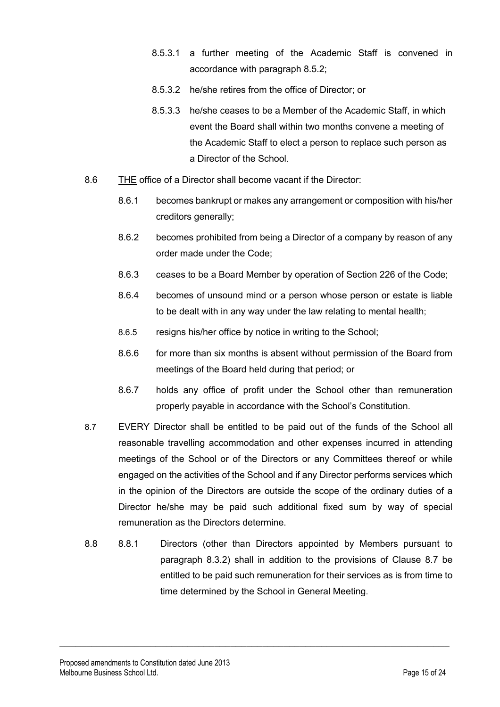- 8.5.3.1 a further meeting of the Academic Staff is convened in accordance with paragraph 8.5.2;
- 8.5.3.2 he/she retires from the office of Director; or
- 8.5.3.3 he/she ceases to be a Member of the Academic Staff, in which event the Board shall within two months convene a meeting of the Academic Staff to elect a person to replace such person as a Director of the School.
- 8.6 THE office of a Director shall become vacant if the Director:
	- 8.6.1 becomes bankrupt or makes any arrangement or composition with his/her creditors generally;
	- 8.6.2 becomes prohibited from being a Director of a company by reason of any order made under the Code;
	- 8.6.3 ceases to be a Board Member by operation of Section 226 of the Code;
	- 8.6.4 becomes of unsound mind or a person whose person or estate is liable to be dealt with in any way under the law relating to mental health;
	- 8.6.5 resigns his/her office by notice in writing to the School;
	- 8.6.6 for more than six months is absent without permission of the Board from meetings of the Board held during that period; or
	- 8.6.7 holds any office of profit under the School other than remuneration properly payable in accordance with the School's Constitution.
- 8.7 EVERY Director shall be entitled to be paid out of the funds of the School all reasonable travelling accommodation and other expenses incurred in attending meetings of the School or of the Directors or any Committees thereof or while engaged on the activities of the School and if any Director performs services which in the opinion of the Directors are outside the scope of the ordinary duties of a Director he/she may be paid such additional fixed sum by way of special remuneration as the Directors determine.
- 8.8 8.8.1 Directors (other than Directors appointed by Members pursuant to paragraph 8.3.2) shall in addition to the provisions of Clause 8.7 be entitled to be paid such remuneration for their services as is from time to time determined by the School in General Meeting.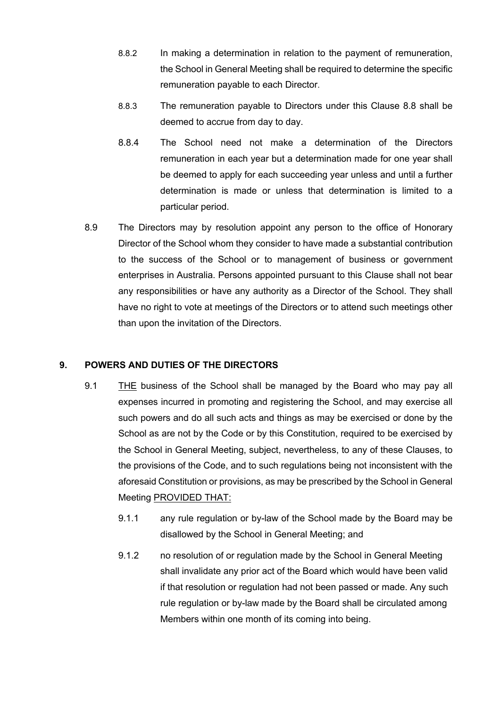- 8.8.2 In making a determination in relation to the payment of remuneration, the School in General Meeting shall be required to determine the specific remuneration payable to each Director.
- 8.8.3 The remuneration payable to Directors under this Clause 8.8 shall be deemed to accrue from day to day.
- 8.8.4 The School need not make a determination of the Directors remuneration in each year but a determination made for one year shall be deemed to apply for each succeeding year unless and until a further determination is made or unless that determination is limited to a particular period.
- 8.9 The Directors may by resolution appoint any person to the office of Honorary Director of the School whom they consider to have made a substantial contribution to the success of the School or to management of business or government enterprises in Australia. Persons appointed pursuant to this Clause shall not bear any responsibilities or have any authority as a Director of the School. They shall have no right to vote at meetings of the Directors or to attend such meetings other than upon the invitation of the Directors.

#### **9. POWERS AND DUTIES OF THE DIRECTORS**

- 9.1 THE business of the School shall be managed by the Board who may pay all expenses incurred in promoting and registering the School, and may exercise all such powers and do all such acts and things as may be exercised or done by the School as are not by the Code or by this Constitution, required to be exercised by the School in General Meeting, subject, nevertheless, to any of these Clauses, to the provisions of the Code, and to such regulations being not inconsistent with the aforesaid Constitution or provisions, as may be prescribed by the School in General Meeting PROVIDED THAT:
	- 9.1.1 any rule regulation or by-law of the School made by the Board may be disallowed by the School in General Meeting; and
	- 9.1.2 no resolution of or regulation made by the School in General Meeting shall invalidate any prior act of the Board which would have been valid if that resolution or regulation had not been passed or made. Any such rule regulation or by-law made by the Board shall be circulated among Members within one month of its coming into being.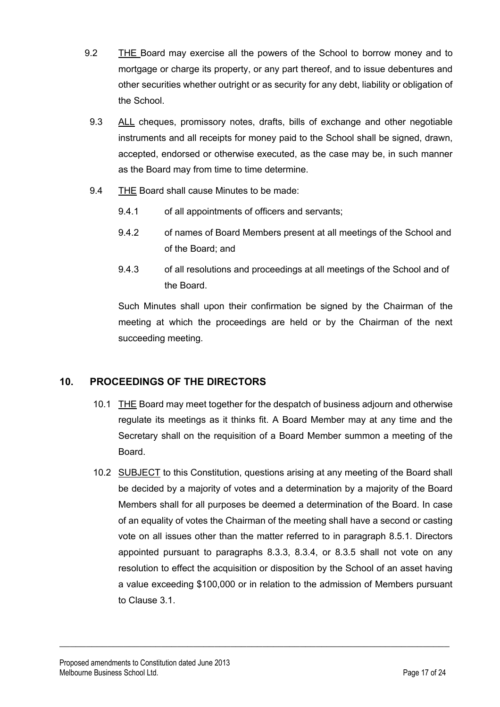- 9.2 THE Board may exercise all the powers of the School to borrow money and to mortgage or charge its property, or any part thereof, and to issue debentures and other securities whether outright or as security for any debt, liability or obligation of the School.
- 9.3 ALL cheques, promissory notes, drafts, bills of exchange and other negotiable instruments and all receipts for money paid to the School shall be signed, drawn, accepted, endorsed or otherwise executed, as the case may be, in such manner as the Board may from time to time determine.
- 9.4 THE Board shall cause Minutes to be made:
	- 9.4.1 of all appointments of officers and servants;
	- 9.4.2 of names of Board Members present at all meetings of the School and of the Board; and
	- 9.4.3 of all resolutions and proceedings at all meetings of the School and of the Board.

Such Minutes shall upon their confirmation be signed by the Chairman of the meeting at which the proceedings are held or by the Chairman of the next succeeding meeting.

#### **10. PROCEEDINGS OF THE DIRECTORS**

- 10.1 THE Board may meet together for the despatch of business adjourn and otherwise regulate its meetings as it thinks fit. A Board Member may at any time and the Secretary shall on the requisition of a Board Member summon a meeting of the Board.
- 10.2 SUBJECT to this Constitution, questions arising at any meeting of the Board shall be decided by a majority of votes and a determination by a majority of the Board Members shall for all purposes be deemed a determination of the Board. In case of an equality of votes the Chairman of the meeting shall have a second or casting vote on all issues other than the matter referred to in paragraph 8.5.1. Directors appointed pursuant to paragraphs 8.3.3, 8.3.4, or 8.3.5 shall not vote on any resolution to effect the acquisition or disposition by the School of an asset having a value exceeding \$100,000 or in relation to the admission of Members pursuant to Clause 3.1.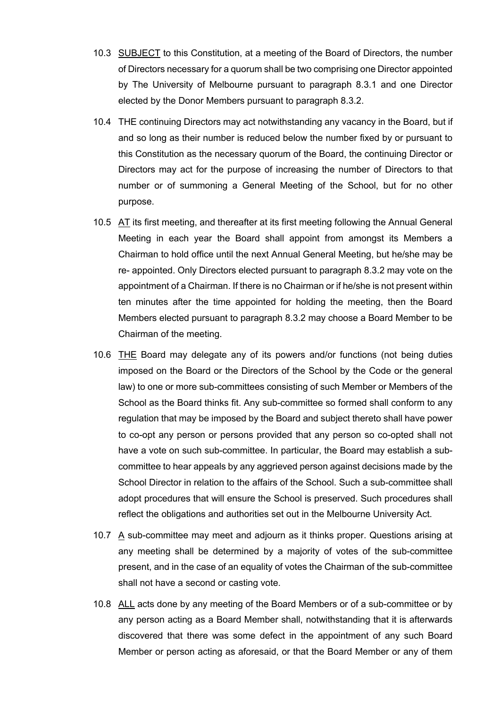- 10.3 SUBJECT to this Constitution, at a meeting of the Board of Directors, the number of Directors necessary for a quorum shall be two comprising one Director appointed by The University of Melbourne pursuant to paragraph 8.3.1 and one Director elected by the Donor Members pursuant to paragraph 8.3.2.
- 10.4 THE continuing Directors may act notwithstanding any vacancy in the Board, but if and so long as their number is reduced below the number fixed by or pursuant to this Constitution as the necessary quorum of the Board, the continuing Director or Directors may act for the purpose of increasing the number of Directors to that number or of summoning a General Meeting of the School, but for no other purpose.
- 10.5 AT its first meeting, and thereafter at its first meeting following the Annual General Meeting in each year the Board shall appoint from amongst its Members a Chairman to hold office until the next Annual General Meeting, but he/she may be re- appointed. Only Directors elected pursuant to paragraph 8.3.2 may vote on the appointment of a Chairman. If there is no Chairman or if he/she is not present within ten minutes after the time appointed for holding the meeting, then the Board Members elected pursuant to paragraph 8.3.2 may choose a Board Member to be Chairman of the meeting.
- 10.6 THE Board may delegate any of its powers and/or functions (not being duties imposed on the Board or the Directors of the School by the Code or the general law) to one or more sub-committees consisting of such Member or Members of the School as the Board thinks fit. Any sub-committee so formed shall conform to any regulation that may be imposed by the Board and subject thereto shall have power to co-opt any person or persons provided that any person so co-opted shall not have a vote on such sub-committee. In particular, the Board may establish a subcommittee to hear appeals by any aggrieved person against decisions made by the School Director in relation to the affairs of the School. Such a sub-committee shall adopt procedures that will ensure the School is preserved. Such procedures shall reflect the obligations and authorities set out in the Melbourne University Act.
- 10.7 A sub-committee may meet and adjourn as it thinks proper. Questions arising at any meeting shall be determined by a majority of votes of the sub-committee present, and in the case of an equality of votes the Chairman of the sub-committee shall not have a second or casting vote.
- 10.8 ALL acts done by any meeting of the Board Members or of a sub-committee or by any person acting as a Board Member shall, notwithstanding that it is afterwards discovered that there was some defect in the appointment of any such Board Member or person acting as aforesaid, or that the Board Member or any of them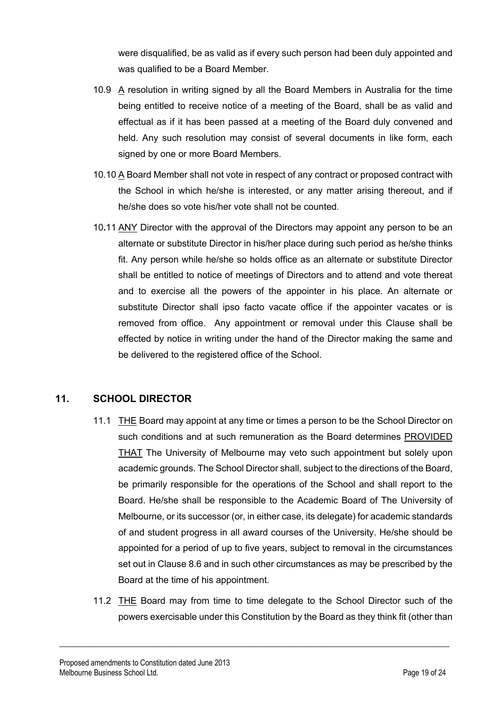were disqualified, be as valid as if every such person had been duly appointed and was qualified to be a Board Member.

- 10.9 A resolution in writing signed by all the Board Members in Australia for the time being entitled to receive notice of a meeting of the Board, shall be as valid and effectual as if it has been passed at a meeting of the Board duly convened and held. Any such resolution may consist of several documents in like form, each signed by one or more Board Members.
- 10.10 A Board Member shall not vote in respect of any contract or proposed contract with the School in which he/she is interested, or any matter arising thereout, and if he/she does so vote his/her vote shall not be counted.
- 10**.**11 ANY Director with the approval of the Directors may appoint any person to be an alternate or substitute Director in his/her place during such period as he/she thinks fit. Any person while he/she so holds office as an alternate or substitute Director shall be entitled to notice of meetings of Directors and to attend and vote thereat and to exercise all the powers of the appointer in his place. An alternate or substitute Director shall ipso facto vacate office if the appointer vacates or is removed from office. Any appointment or removal under this Clause shall be effected by notice in writing under the hand of the Director making the same and be delivered to the registered office of the School.

#### **11. SCHOOL DIRECTOR**

- 11.1 THE Board may appoint at any time or times a person to be the School Director on such conditions and at such remuneration as the Board determines PROVIDED THAT The University of Melbourne may veto such appointment but solely upon academic grounds. The School Director shall, subject to the directions of the Board, be primarily responsible for the operations of the School and shall report to the Board. He/she shall be responsible to the Academic Board of The University of Melbourne, or its successor (or, in either case, its delegate) for academic standards of and student progress in all award courses of the University. He/she should be appointed for a period of up to five years, subject to removal in the circumstances set out in Clause 8.6 and in such other circumstances as may be prescribed by the Board at the time of his appointment.
- 11.2 THE Board may from time to time delegate to the School Director such of the powers exercisable under this Constitution by the Board as they think fit (other than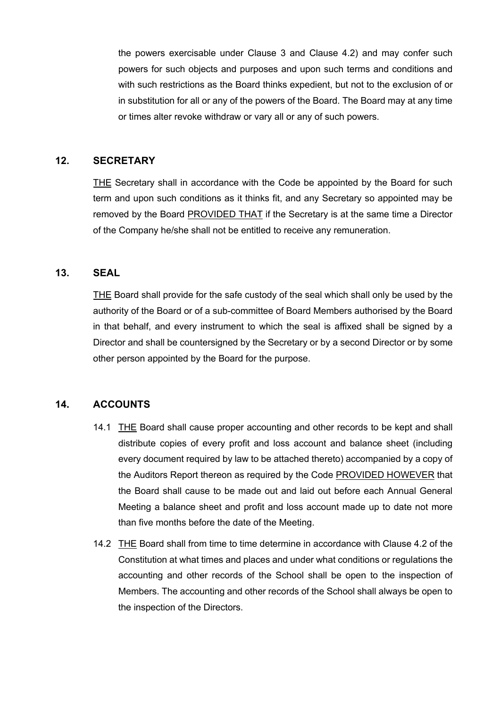the powers exercisable under Clause 3 and Clause 4.2) and may confer such powers for such objects and purposes and upon such terms and conditions and with such restrictions as the Board thinks expedient, but not to the exclusion of or in substitution for all or any of the powers of the Board. The Board may at any time or times alter revoke withdraw or vary all or any of such powers.

#### **12. SECRETARY**

THE Secretary shall in accordance with the Code be appointed by the Board for such term and upon such conditions as it thinks fit, and any Secretary so appointed may be removed by the Board PROVIDED THAT if the Secretary is at the same time a Director of the Company he/she shall not be entitled to receive any remuneration.

#### **13. SEAL**

THE Board shall provide for the safe custody of the seal which shall only be used by the authority of the Board or of a sub-committee of Board Members authorised by the Board in that behalf, and every instrument to which the seal is affixed shall be signed by a Director and shall be countersigned by the Secretary or by a second Director or by some other person appointed by the Board for the purpose.

#### **14. ACCOUNTS**

- 14.1 THE Board shall cause proper accounting and other records to be kept and shall distribute copies of every profit and loss account and balance sheet (including every document required by law to be attached thereto) accompanied by a copy of the Auditors Report thereon as required by the Code PROVIDED HOWEVER that the Board shall cause to be made out and laid out before each Annual General Meeting a balance sheet and profit and loss account made up to date not more than five months before the date of the Meeting.
- 14.2 THE Board shall from time to time determine in accordance with Clause 4.2 of the Constitution at what times and places and under what conditions or regulations the accounting and other records of the School shall be open to the inspection of Members. The accounting and other records of the School shall always be open to the inspection of the Directors.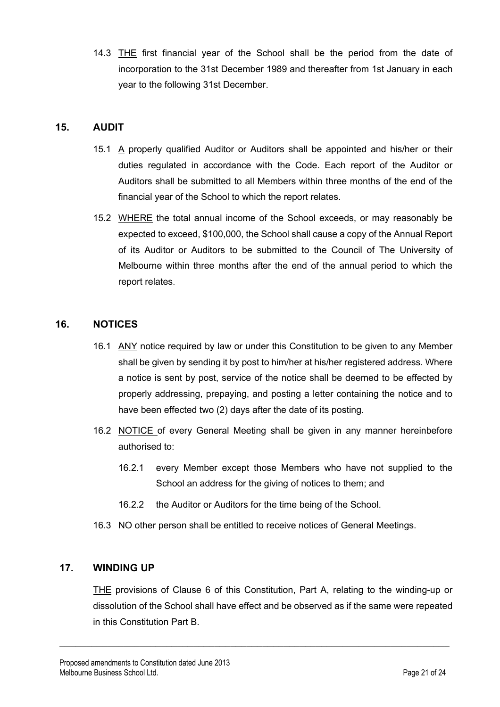14.3 THE first financial year of the School shall be the period from the date of incorporation to the 31st December 1989 and thereafter from 1st January in each year to the following 31st December.

#### **15. AUDIT**

- 15.1 A properly qualified Auditor or Auditors shall be appointed and his/her or their duties regulated in accordance with the Code. Each report of the Auditor or Auditors shall be submitted to all Members within three months of the end of the financial year of the School to which the report relates.
- 15.2 WHERE the total annual income of the School exceeds, or may reasonably be expected to exceed, \$100,000, the School shall cause a copy of the Annual Report of its Auditor or Auditors to be submitted to the Council of The University of Melbourne within three months after the end of the annual period to which the report relates.

#### **16. NOTICES**

- 16.1 ANY notice required by law or under this Constitution to be given to any Member shall be given by sending it by post to him/her at his/her registered address. Where a notice is sent by post, service of the notice shall be deemed to be effected by properly addressing, prepaying, and posting a letter containing the notice and to have been effected two (2) days after the date of its posting.
- 16.2 NOTICE of every General Meeting shall be given in any manner hereinbefore authorised to:
	- 16.2.1 every Member except those Members who have not supplied to the School an address for the giving of notices to them; and
	- 16.2.2 the Auditor or Auditors for the time being of the School.
- 16.3 NO other person shall be entitled to receive notices of General Meetings.

 $\_$  , and the set of the set of the set of the set of the set of the set of the set of the set of the set of the set of the set of the set of the set of the set of the set of the set of the set of the set of the set of th

#### **17. WINDING UP**

THE provisions of Clause 6 of this Constitution, Part A, relating to the winding-up or dissolution of the School shall have effect and be observed as if the same were repeated in this Constitution Part B.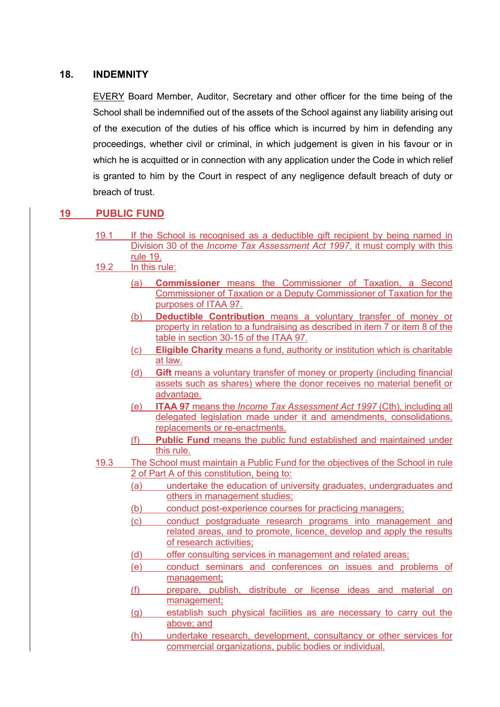#### **18. INDEMNITY**

EVERY Board Member, Auditor, Secretary and other officer for the time being of the School shall be indemnified out of the assets of the School against any liability arising out of the execution of the duties of his office which is incurred by him in defending any proceedings, whether civil or criminal, in which judgement is given in his favour or in which he is acquitted or in connection with any application under the Code in which relief is granted to him by the Court in respect of any negligence default breach of duty or breach of trust.

#### **19 PUBLIC FUND**

- 19.1 If the School is recognised as a deductible gift recipient by being named in Division 30 of the *Income Tax Assessment Act 1997*, it must comply with this rule 19.
- 19.2 In this rule:
	- (a) **Commissioner** means the Commissioner of Taxation, a Second Commissioner of Taxation or a Deputy Commissioner of Taxation for the purposes of ITAA 97.
	- (b) **Deductible Contribution** means a voluntary transfer of money or property in relation to a fundraising as described in item 7 or item 8 of the table in section 30-15 of the ITAA 97.
	- (c) **Eligible Charity** means a fund, authority or institution which is charitable at law.
	- (d) **Gift** means a voluntary transfer of money or property (including financial assets such as shares) where the donor receives no material benefit or advantage.
	- (e) **ITAA 97** means the *Income Tax Assessment Act 1997* (Cth), including all delegated legislation made under it and amendments, consolidations, replacements or re-enactments.
	- (f) **Public Fund** means the public fund established and maintained under this rule.
- 19.3 The School must maintain a Public Fund for the objectives of the School in rule 2 of Part A of this constitution, being to:
	- (a) undertake the education of university graduates, undergraduates and others in management studies;
	- (b) conduct post-experience courses for practicing managers;
	- (c) conduct postgraduate research programs into management and related areas, and to promote, licence, develop and apply the results of research activities;
	- (d) offer consulting services in management and related areas;
	- (e) conduct seminars and conferences on issues and problems of management;
	- (f) prepare, publish, distribute or license ideas and material on management;
	- (g) establish such physical facilities as are necessary to carry out the above; and
	- (h) undertake research, development, consultancy or other services for commercial organizations, public bodies or individual.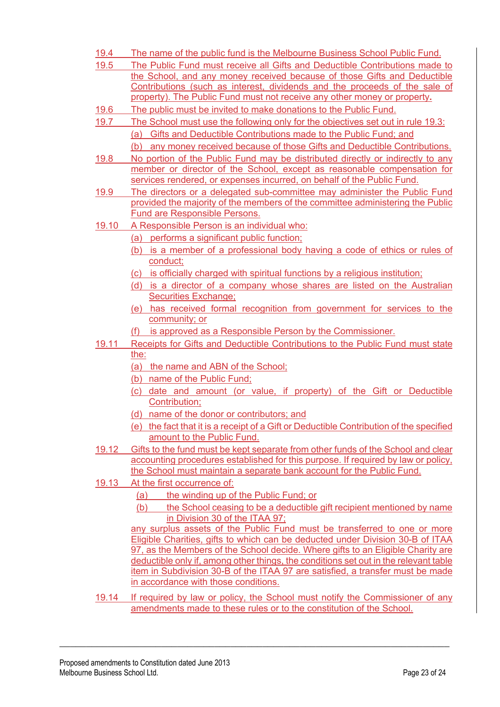- 19.4 The name of the public fund is the Melbourne Business School Public Fund.
- 19.5 The Public Fund must receive all Gifts and Deductible Contributions made to the School, and any money received because of those Gifts and Deductible Contributions (such as interest, dividends and the proceeds of the sale of property). The Public Fund must not receive any other money or property**.**
- 19.6 The public must be invited to make donations to the Public Fund.
- 19.7 The School must use the following only for the objectives set out in rule 19.3: (a) Gifts and Deductible Contributions made to the Public Fund; and
	- (b) any money received because of those Gifts and Deductible Contributions.
- 19.8 No portion of the Public Fund may be distributed directly or indirectly to any member or director of the School, except as reasonable compensation for services rendered, or expenses incurred, on behalf of the Public Fund.
- 19.9 The directors or a delegated sub-committee may administer the Public Fund provided the majority of the members of the committee administering the Public Fund are Responsible Persons.
- 19.10 A Responsible Person is an individual who:
	- (a) performs a significant public function;
	- (b) is a member of a professional body having a code of ethics or rules of conduct;
	- (c) is officially charged with spiritual functions by a religious institution;
	- (d) is a director of a company whose shares are listed on the Australian Securities Exchange;
	- (e) has received formal recognition from government for services to the community; or
	- (f) is approved as a Responsible Person by the Commissioner.
- 19.11 Receipts for Gifts and Deductible Contributions to the Public Fund must state the:
	- (a) the name and ABN of the School;
	- (b) name of the Public Fund;
	- (c) date and amount (or value, if property) of the Gift or Deductible Contribution;
	- (d) name of the donor or contributors; and
	- (e) the fact that it is a receipt of a Gift or Deductible Contribution of the specified amount to the Public Fund.
- 19.12 Gifts to the fund must be kept separate from other funds of the School and clear accounting procedures established for this purpose. If required by law or policy, the School must maintain a separate bank account for the Public Fund.
- 19.13 At the first occurrence of:
	- (a) the winding up of the Public Fund; or
	- (b) the School ceasing to be a deductible gift recipient mentioned by name in Division 30 of the ITAA 97;

any surplus assets of the Public Fund must be transferred to one or more Eligible Charities, gifts to which can be deducted under Division 30-B of ITAA 97, as the Members of the School decide. Where gifts to an Eligible Charity are deductible only if, among other things, the conditions set out in the relevant table item in Subdivision 30-B of the ITAA 97 are satisfied, a transfer must be made in accordance with those conditions.

19.14 If required by law or policy, the School must notify the Commissioner of any amendments made to these rules or to the constitution of the School.